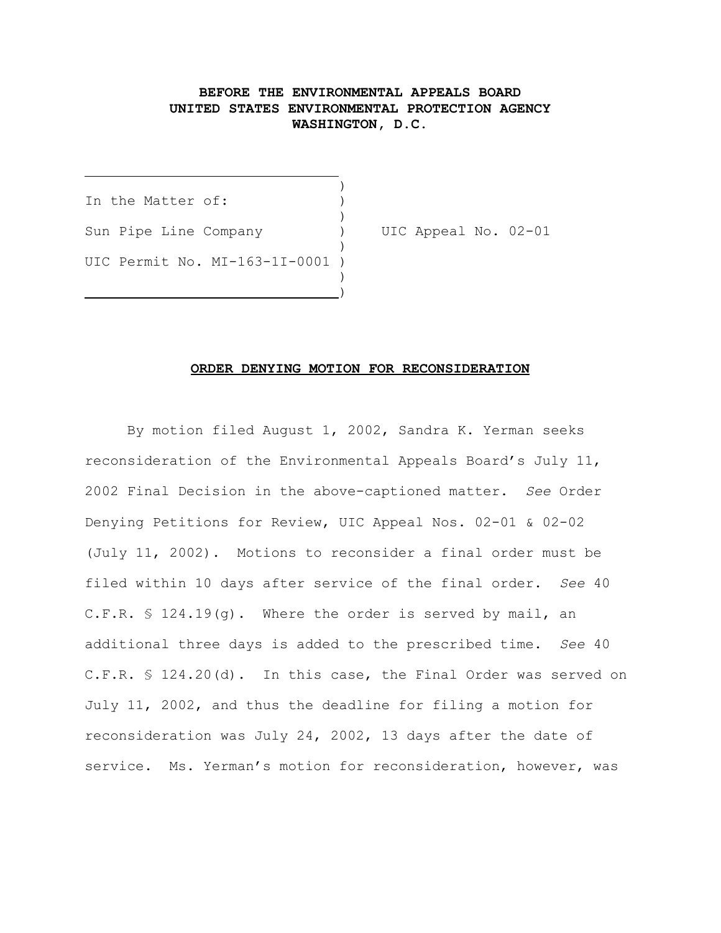## **BEFORE THE ENVIRONMENTAL APPEALS BOARD UNITED STATES ENVIRONMENTAL PROTECTION AGENCY WASHINGTON, D.C.**

 $)$ In the Matter of: ) Sun Pipe Line Company (a) UIC Appeal No. 02-01  $)$ UIC Permit No. MI-163-1I-0001 ) )

<u>)</u>

 $\overline{a}$ 

## **ORDER DENYING MOTION FOR RECONSIDERATION**

By motion filed August 1, 2002, Sandra K. Yerman seeks reconsideration of the Environmental Appeals Board's July 11, 2002 Final Decision in the above-captioned matter. *See* Order Denying Petitions for Review, UIC Appeal Nos. 02-01 & 02-02 (July 11, 2002). Motions to reconsider a final order must be filed within 10 days after service of the final order. *See* 40 C.F.R. § 124.19(g). Where the order is served by mail, an additional three days is added to the prescribed time. *See* 40 C.F.R. § 124.20(d). In this case, the Final Order was served on July 11, 2002, and thus the deadline for filing a motion for reconsideration was July 24, 2002, 13 days after the date of service. Ms. Yerman's motion for reconsideration, however, was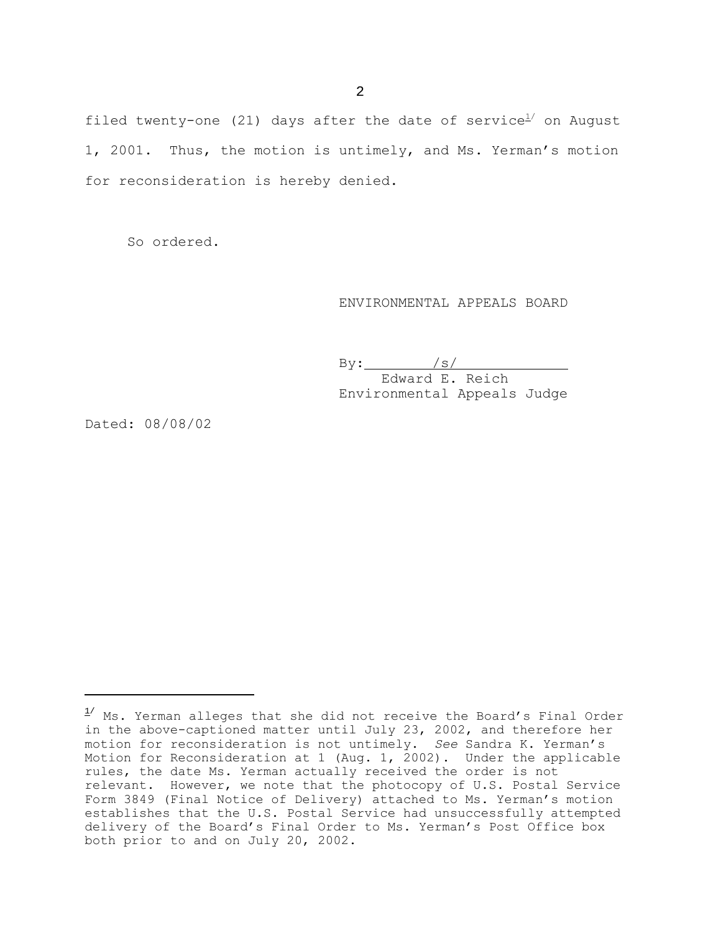filed twenty-one (21) days after the date of service<sup>1/</sup> on August 1, 2001. Thus, the motion is untimely, and Ms. Yerman's motion for reconsideration is hereby denied.

So ordered.

## ENVIRONMENTAL APPEALS BOARD

 $\text{By:}$  /s/ Edward E. Reich Environmental Appeals Judge

Dated: 08/08/02

 $1/$  Ms. Yerman alleges that she did not receive the Board's Final Order in the above-captioned matter until July 23, 2002, and therefore her motion for reconsideration is not untimely. *See* Sandra K. Yerman's Motion for Reconsideration at 1 (Aug. 1, 2002). Under the applicable rules, the date Ms. Yerman actually received the order is not relevant. However, we note that the photocopy of U.S. Postal Service Form 3849 (Final Notice of Delivery) attached to Ms. Yerman's motion establishes that the U.S. Postal Service had unsuccessfully attempted delivery of the Board's Final Order to Ms. Yerman's Post Office box both prior to and on July 20, 2002.